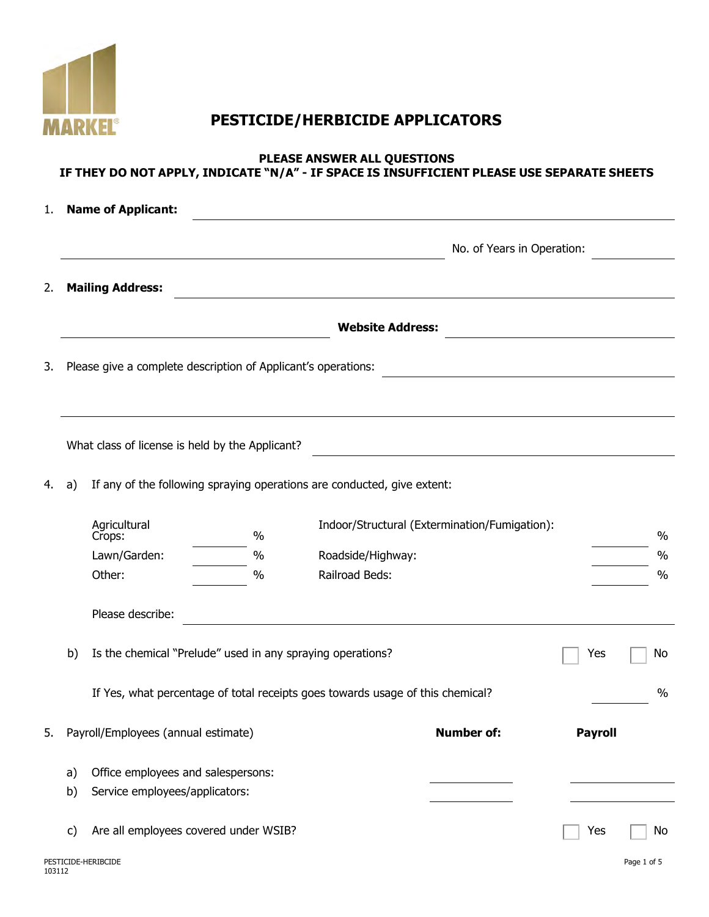

# **PESTICIDE/HERBICIDE APPLICATORS**

## **PLEASE ANSWER ALL QUESTIONS IF THEY DO NOT APPLY, INDICATE "N/A" - IF SPACE IS INSUFFICIENT PLEASE USE SEPARATE SHEETS**

| 1.     |    | <b>Name of Applicant:</b>                                                                                            |      |                                                                                |                                                                                                                       |                |               |
|--------|----|----------------------------------------------------------------------------------------------------------------------|------|--------------------------------------------------------------------------------|-----------------------------------------------------------------------------------------------------------------------|----------------|---------------|
|        |    |                                                                                                                      |      |                                                                                | No. of Years in Operation:                                                                                            |                |               |
| 2.     |    | <b>Mailing Address:</b>                                                                                              |      |                                                                                |                                                                                                                       |                |               |
|        |    | <u> 1980 - Johann Barn, mars ann an t-Amhain Aonaich an t-Aonaich an t-Aonaich ann an t-Aonaich ann an t-Aonaich</u> |      | <b>Website Address:</b>                                                        |                                                                                                                       |                |               |
| 3.     |    | Please give a complete description of Applicant's operations:                                                        |      |                                                                                |                                                                                                                       |                |               |
|        |    | What class of license is held by the Applicant?                                                                      |      |                                                                                | <u> 1980 - Johann Barn, mars ann an t-Amhain Aonaichte ann an t-Aonaichte ann an t-Aonaichte ann an t-Aonaichte a</u> |                |               |
| 4.     | a) |                                                                                                                      |      | If any of the following spraying operations are conducted, give extent:        |                                                                                                                       |                |               |
|        |    | Agricultural<br>Crops:                                                                                               | $\%$ |                                                                                | Indoor/Structural (Extermination/Fumigation):                                                                         |                | $\frac{0}{0}$ |
|        |    | Lawn/Garden:                                                                                                         | $\%$ | Roadside/Highway:                                                              |                                                                                                                       |                | $\%$          |
|        |    | Other:                                                                                                               | $\%$ | Railroad Beds:                                                                 |                                                                                                                       |                | $\%$          |
|        |    | Please describe:                                                                                                     |      |                                                                                |                                                                                                                       |                |               |
|        | b) | Is the chemical "Prelude" used in any spraying operations?                                                           |      |                                                                                |                                                                                                                       | Yes            | No.           |
|        |    |                                                                                                                      |      | If Yes, what percentage of total receipts goes towards usage of this chemical? |                                                                                                                       |                | $\%$          |
| 5.     |    | Payroll/Employees (annual estimate)                                                                                  |      |                                                                                | <b>Number of:</b>                                                                                                     | <b>Payroll</b> |               |
|        | a) | Office employees and salespersons:                                                                                   |      |                                                                                |                                                                                                                       |                |               |
|        | b) | Service employees/applicators:                                                                                       |      |                                                                                |                                                                                                                       |                |               |
|        | C) | Are all employees covered under WSIB?                                                                                |      |                                                                                |                                                                                                                       | Yes            | No            |
| 103112 |    | PESTICIDE-HERIBCIDE                                                                                                  |      |                                                                                |                                                                                                                       |                | Page 1 of 5   |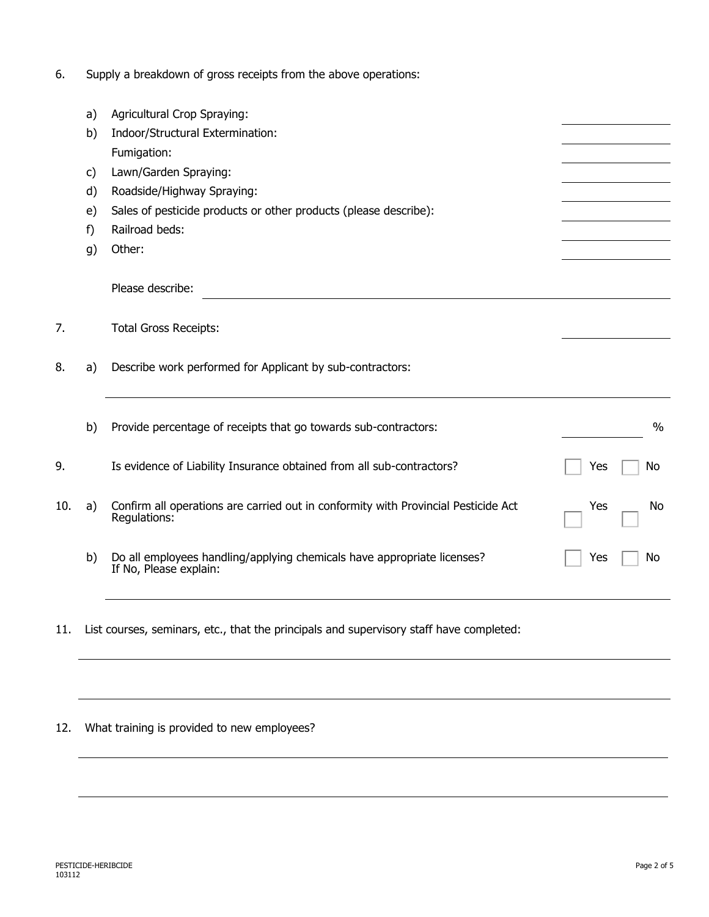| 6. |  | Supply a breakdown of gross receipts from the above operations: |  |  |  |
|----|--|-----------------------------------------------------------------|--|--|--|
|----|--|-----------------------------------------------------------------|--|--|--|

|     | a) | Agricultural Crop Spraying:                                                                        |           |
|-----|----|----------------------------------------------------------------------------------------------------|-----------|
|     | b) | Indoor/Structural Extermination:                                                                   |           |
|     |    | Fumigation:                                                                                        |           |
|     | c) | Lawn/Garden Spraying:                                                                              |           |
|     | d) | Roadside/Highway Spraying:                                                                         |           |
|     | e) | Sales of pesticide products or other products (please describe):                                   |           |
|     | f) | Railroad beds:                                                                                     |           |
|     | g) | Other:                                                                                             |           |
|     |    | Please describe:                                                                                   |           |
| 7.  |    | <b>Total Gross Receipts:</b>                                                                       |           |
| 8.  | a) | Describe work performed for Applicant by sub-contractors:                                          |           |
|     | b) | Provide percentage of receipts that go towards sub-contractors:                                    | $\%$      |
| 9.  |    | Is evidence of Liability Insurance obtained from all sub-contractors?                              | Νo<br>Yes |
| 10. | a) | Confirm all operations are carried out in conformity with Provincial Pesticide Act<br>Regulations: | Yes<br>No |
|     | b) | Do all employees handling/applying chemicals have appropriate licenses?<br>If No, Please explain:  | No<br>Yes |
| 11. |    | List courses, seminars, etc., that the principals and supervisory staff have completed:            |           |

12. What training is provided to new employees?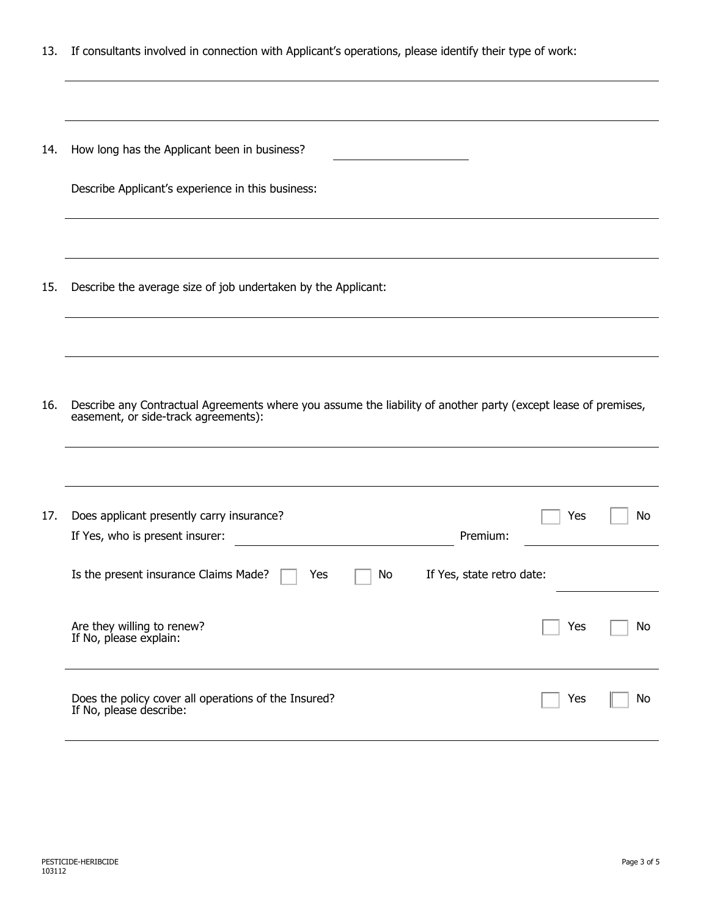|  | 13. If consultants involved in connection with Applicant's operations, please identify their type of work: |  |  |  |  |  |
|--|------------------------------------------------------------------------------------------------------------|--|--|--|--|--|
|--|------------------------------------------------------------------------------------------------------------|--|--|--|--|--|

| 14. | How long has the Applicant been in business?                                                                                                           |     |     |
|-----|--------------------------------------------------------------------------------------------------------------------------------------------------------|-----|-----|
|     | Describe Applicant's experience in this business:                                                                                                      |     |     |
|     |                                                                                                                                                        |     |     |
| 15. | Describe the average size of job undertaken by the Applicant:                                                                                          |     |     |
|     |                                                                                                                                                        |     |     |
| 16. | Describe any Contractual Agreements where you assume the liability of another party (except lease of premises,<br>easement, or side-track agreements): |     |     |
|     |                                                                                                                                                        |     |     |
| 17. | Does applicant presently carry insurance?<br>If Yes, who is present insurer:<br>Premium:                                                               | Yes | No  |
|     | Is the present insurance Claims Made?  <br>If Yes, state retro date:<br>Yes<br>No                                                                      |     |     |
|     | Are they willing to renew?<br>If No, please explain:                                                                                                   | Yes | No  |
|     | Does the policy cover all operations of the Insured?<br>If No, please describe:                                                                        | Yes | No. |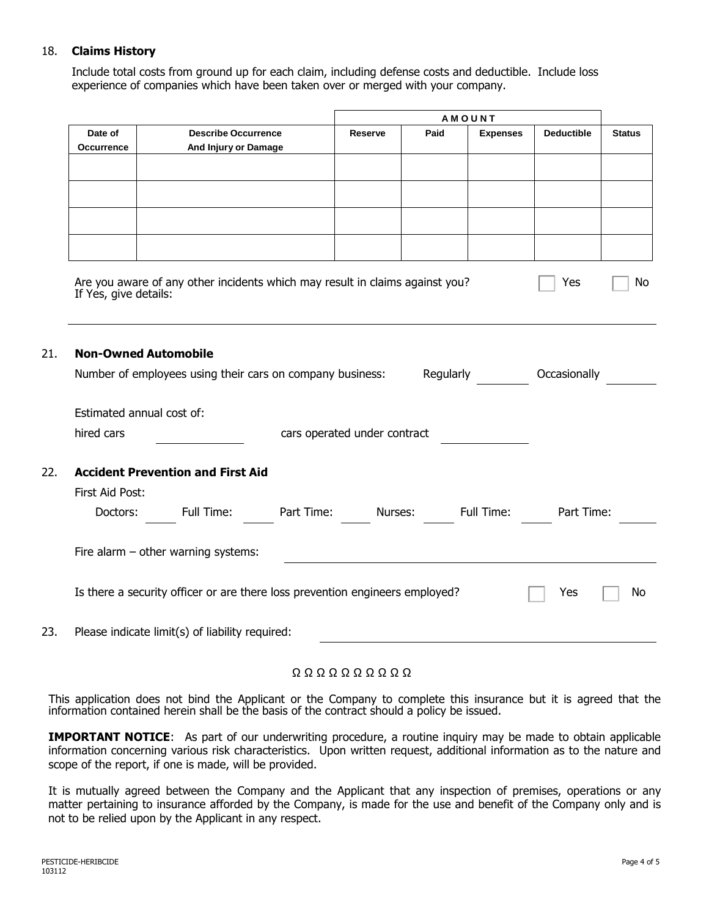### 18. **Claims History**

Include total costs from ground up for each claim, including defense costs and deductible. Include loss experience of companies which have been taken over or merged with your company.

|                             |                                                                              |            | <b>AMOUNT</b>                |         |                 |                   |               |
|-----------------------------|------------------------------------------------------------------------------|------------|------------------------------|---------|-----------------|-------------------|---------------|
| Date of                     | <b>Describe Occurrence</b>                                                   |            | Reserve                      | Paid    | <b>Expenses</b> | <b>Deductible</b> | <b>Status</b> |
| <b>Occurrence</b>           | And Injury or Damage                                                         |            |                              |         |                 |                   |               |
|                             |                                                                              |            |                              |         |                 |                   |               |
|                             |                                                                              |            |                              |         |                 |                   |               |
|                             |                                                                              |            |                              |         |                 |                   |               |
|                             |                                                                              |            |                              |         |                 |                   |               |
|                             |                                                                              |            |                              |         |                 |                   |               |
|                             |                                                                              |            |                              |         |                 |                   |               |
| If Yes, give details:       | Are you aware of any other incidents which may result in claims against you? |            |                              |         |                 | Yes               | No            |
| <b>Non-Owned Automobile</b> | Number of employees using their cars on company business:                    |            |                              |         | Regularly       | Occasionally      |               |
| Estimated annual cost of:   |                                                                              |            |                              |         |                 |                   |               |
|                             |                                                                              |            |                              |         |                 |                   |               |
| hired cars                  |                                                                              |            | cars operated under contract |         |                 |                   |               |
|                             | <b>Accident Prevention and First Aid</b>                                     |            |                              |         |                 |                   |               |
| First Aid Post:             |                                                                              |            |                              |         |                 |                   |               |
|                             |                                                                              |            |                              |         |                 |                   |               |
| Doctors:                    | Full Time:                                                                   | Part Time: |                              | Nurses: | Full Time:      | Part Time:        |               |
|                             | Fire alarm - other warning systems:                                          |            |                              |         |                 |                   |               |
|                             | Is there a security officer or are there loss prevention engineers employed? |            |                              |         |                 | Yes               | No            |
|                             | Please indicate limit(s) of liability required:                              |            |                              |         |                 |                   |               |

#### Ω Ω Ω Ω Ω Ω Ω Ω Ω Ω

This application does not bind the Applicant or the Company to complete this insurance but it is agreed that the information contained herein shall be the basis of the contract should a policy be issued.

**IMPORTANT NOTICE**: As part of our underwriting procedure, a routine inquiry may be made to obtain applicable information concerning various risk characteristics. Upon written request, additional information as to the nature and scope of the report, if one is made, will be provided.

It is mutually agreed between the Company and the Applicant that any inspection of premises, operations or any matter pertaining to insurance afforded by the Company, is made for the use and benefit of the Company only and is not to be relied upon by the Applicant in any respect.